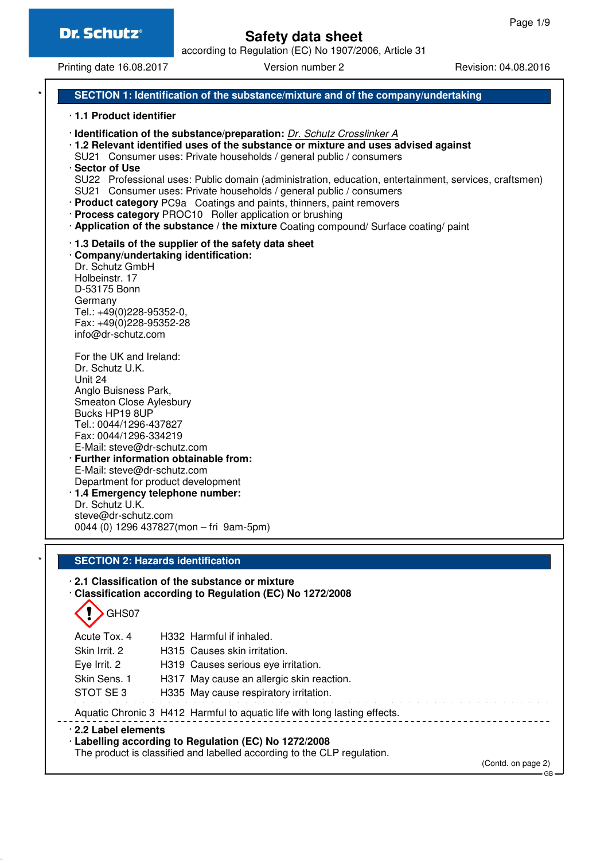according to Regulation (EC) No 1907/2006, Article 31

Printing date 16.08.2017 **Version number 2** Revision: 04.08.2016

### **SECTION 1: Identification of the substance/mixture and of the company/undertaking**

#### · **1.1 Product identifier**

· **Identification of the substance/preparation:** Dr. Schutz Crosslinker A

· **1.2 Relevant identified uses of the substance or mixture and uses advised against**

- SU21 Consumer uses: Private households / general public / consumers
- · **Sector of Use**

SU22 Professional uses: Public domain (administration, education, entertainment, services, craftsmen) SU21 Consumer uses: Private households / general public / consumers

- · **Product category** PC9a Coatings and paints, thinners, paint removers
- · **Process category** PROC10 Roller application or brushing
- · **Application of the substance / the mixture** Coating compound/ Surface coating/ paint

#### · **1.3 Details of the supplier of the safety data sheet**

· **Company/undertaking identification:** Dr. Schutz GmbH Holbeinstr. 17 D-53175 Bonn Germany Tel.: +49(0)228-95352-0, Fax: +49(0)228-95352-28 info@dr-schutz.com

For the UK and Ireland: Dr. Schutz U.K. Unit 24 Anglo Buisness Park, Smeaton Close Aylesbury Bucks HP19 8UP Tel.: 0044/1296-437827 Fax: 0044/1296-334219 E-Mail: steve@dr-schutz.com · **Further information obtainable from:**

E-Mail: steve@dr-schutz.com Department for product development · **1.4 Emergency telephone number:**

Dr. Schutz U.K. steve@dr-schutz.com 0044 (0) 1296 437827(mon – fri 9am-5pm)

#### **SECTION 2: Hazards identification**

## · **2.1 Classification of the substance or mixture**

· **Classification according to Regulation (EC) No 1272/2008**

GHS07

Acute Tox. 4 H332 Harmful if inhaled. Skin Irrit. 2 **H315** Causes skin irritation. Eye Irrit. 2 H319 Causes serious eye irritation. Skin Sens. 1 H317 May cause an allergic skin reaction. STOT SE 3 H335 May cause respiratory irritation. Aquatic Chronic 3 H412 Harmful to aquatic life with long lasting effects. · **2.2 Label elements** · **Labelling according to Regulation (EC) No 1272/2008**

The product is classified and labelled according to the CLP regulation.

(Contd. on page 2)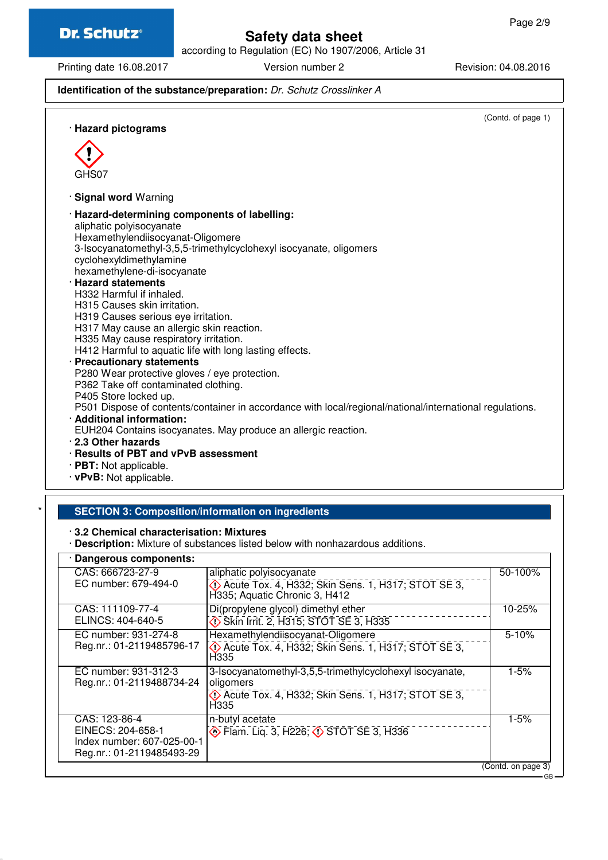GHS07

# **Safety data sheet**

according to Regulation (EC) No 1907/2006, Article 31

Printing date 16.08.2017 Version number 2 Revision: 04.08.2016

## **Identification of the substance/preparation:** Dr. Schutz Crosslinker A

(Contd. of page 1) · **Hazard pictograms** · **Signal word** Warning · **Hazard-determining components of labelling:** aliphatic polyisocyanate Hexamethylendiisocyanat-Oligomere 3-Isocyanatomethyl-3,5,5-trimethylcyclohexyl isocyanate, oligomers cyclohexyldimethylamine hexamethylene-di-isocyanate · **Hazard statements** H332 Harmful if inhaled. H315 Causes skin irritation. H319 Causes serious eye irritation. H317 May cause an allergic skin reaction. H335 May cause respiratory irritation. H412 Harmful to aquatic life with long lasting effects. · **Precautionary statements** P280 Wear protective gloves / eye protection. P362 Take off contaminated clothing. P405 Store locked up. P501 Dispose of contents/container in accordance with local/regional/national/international regulations. · **Additional information:** EUH204 Contains isocyanates. May produce an allergic reaction. · **2.3 Other hazards**

- · **Results of PBT and vPvB assessment**
- · **PBT:** Not applicable.
- · **vPvB:** Not applicable.

#### **SECTION 3: Composition/information on ingredients**

#### · **3.2 Chemical characterisation: Mixtures**

· **Description:** Mixture of substances listed below with nonhazardous additions.

| · Dangerous components:                                                                       |                                                                                                                                       |                    |
|-----------------------------------------------------------------------------------------------|---------------------------------------------------------------------------------------------------------------------------------------|--------------------|
| CAS: 666723-27-9<br>EC number: 679-494-0                                                      | aliphatic polyisocyanate<br>C Acute Tox. 4, H332; Skin Sens. 1, H317; STOT SE 3,<br>H335; Aquatic Chronic 3, H412                     | 50-100%            |
| CAS: 111109-77-4<br>ELINCS: 404-640-5                                                         | Di(propylene glycol) dimethyl ether<br>Skin Irrit. 2, H315; STOT SE 3, H335                                                           | 10-25%             |
| EC number: 931-274-8<br>Reg.nr.: 01-2119485796-17                                             | Hexamethylendiisocyanat-Oligomere<br>C Acute Tox. 4, H332; Skin Sens. 1, H317; STOT SE 3,<br>H335                                     | $5 - 10%$          |
| EC number: 931-312-3<br>Reg.nr.: 01-2119488734-24                                             | 3-Isocyanatomethyl-3,5,5-trimethylcyclohexyl isocyanate,<br>oligomers<br>C Acute Tox. 4, H332; Skin Sens. 1, H317; STOT SE 3,<br>H335 | $1 - 5%$           |
| CAS: 123-86-4<br>EINECS: 204-658-1<br>Index number: 607-025-00-1<br>Reg.nr.: 01-2119485493-29 | n-butyl acetate<br><b>Exam.</b> Liq. 3, H226, $\diamond$ STOT SE 3, H336                                                              | $1 - 5%$           |
|                                                                                               |                                                                                                                                       | (Contd. on page 3) |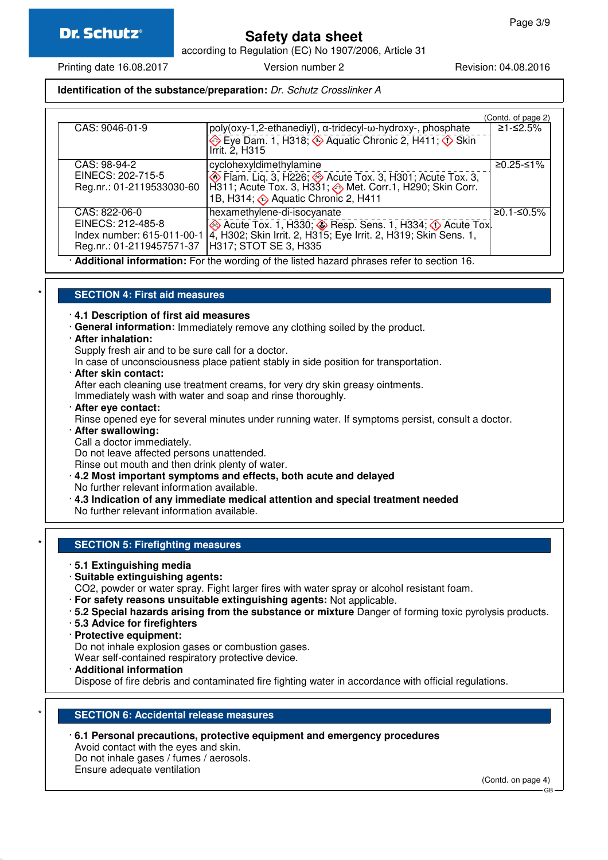according to Regulation (EC) No 1907/2006, Article 31

### **Identification of the substance/preparation:** Dr. Schutz Crosslinker A

|                            |                                                                                                                                                                     | (Contd. of page 2) |
|----------------------------|---------------------------------------------------------------------------------------------------------------------------------------------------------------------|--------------------|
| CAS: 9046-01-9             | poly(oxy-1,2-ethanediyl), α-tridecyl-ω-hydroxy-, phosphate<br>$\leftrightarrow$ Eye Dam. 1, H318; $\leftrightarrow$ Aquatic Chronic 2, H411; $\leftrightarrow$ Skin | ≥1-≤2.5%           |
|                            | Irrit. 2, H315                                                                                                                                                      |                    |
| CAS: 98-94-2               | cyclohexyldimethylamine                                                                                                                                             | ≥0.25-≤1%          |
| EINECS: 202-715-5          | <b>Elam.</b> Lig. 3, H226; <b>Acute Tox. 3, H301</b> ; Acute Tox. 3,                                                                                                |                    |
| Reg.nr.: 01-2119533030-60  | H311; Acute Tox. 3, H331; <> Met. Corr.1, H290; Skin Corr.<br>1B, H314; $\otimes$ Aquatic Chronic 2, H411                                                           |                    |
| CAS: 822-06-0              | hexamethylene-di-isocyanate                                                                                                                                         | ≥0.1-≤0.5%         |
| EINECS: 212-485-8          | Acute Tox. 1, H330; Besp. Sens. 1, H334; O Acute Tox.                                                                                                               |                    |
| Index number: 615-011-00-1 | 4, H302; Skin Irrit. 2, H315; Eye Irrit. 2, H319; Skin Sens. 1,                                                                                                     |                    |
| Reg.nr.: 01-2119457571-37  | H317; STOT SE 3, H335                                                                                                                                               |                    |
|                            | Additional information: For the wording of the listed hazard phrases refer to section 16.                                                                           |                    |

#### \* **SECTION 4: First aid measures**

· **4.1 Description of first aid measures**

- · **General information:** Immediately remove any clothing soiled by the product.
- · **After inhalation:**
	- Supply fresh air and to be sure call for a doctor.

In case of unconsciousness place patient stably in side position for transportation.

· **After skin contact:**

After each cleaning use treatment creams, for very dry skin greasy ointments.

Immediately wash with water and soap and rinse thoroughly.

· **After eye contact:**

Rinse opened eye for several minutes under running water. If symptoms persist, consult a doctor.

· **After swallowing:**

Call a doctor immediately.

Do not leave affected persons unattended.

Rinse out mouth and then drink plenty of water.

- · **4.2 Most important symptoms and effects, both acute and delayed**
- No further relevant information available.
- · **4.3 Indication of any immediate medical attention and special treatment needed**

No further relevant information available.

#### **SECTION 5: Firefighting measures**

#### · **5.1 Extinguishing media**

- · **Suitable extinguishing agents:**
- CO2, powder or water spray. Fight larger fires with water spray or alcohol resistant foam.
- · **For safety reasons unsuitable extinguishing agents:** Not applicable.
- · **5.2 Special hazards arising from the substance or mixture** Danger of forming toxic pyrolysis products.
- · **5.3 Advice for firefighters**
- · **Protective equipment:**

Do not inhale explosion gases or combustion gases.

Wear self-contained respiratory protective device.

· **Additional information**

Dispose of fire debris and contaminated fire fighting water in accordance with official regulations.

#### **SECTION 6: Accidental release measures**

· **6.1 Personal precautions, protective equipment and emergency procedures** Avoid contact with the eyes and skin. Do not inhale gases / fumes / aerosols.

Ensure adequate ventilation

(Contd. on page 4)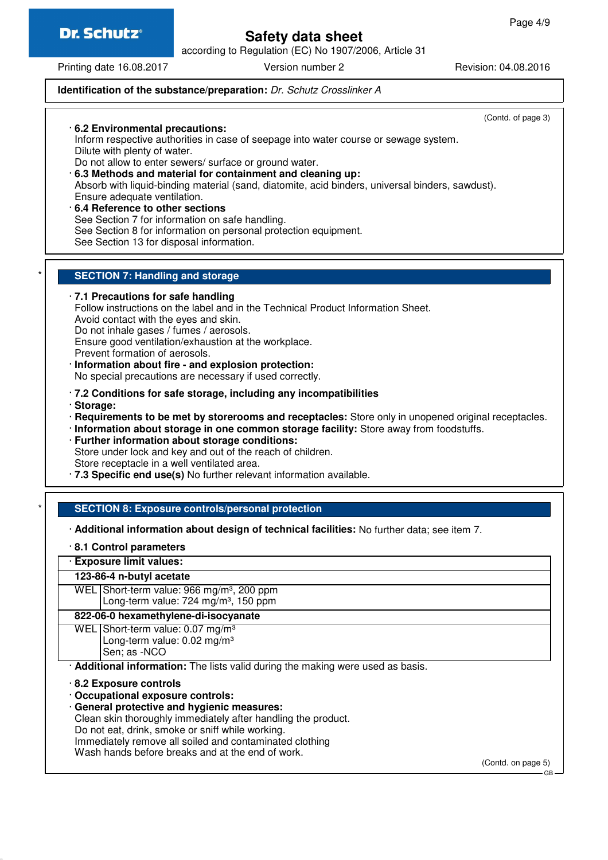**Dr. Schutz®** 

## **Safety data sheet**

according to Regulation (EC) No 1907/2006, Article 31

Printing date 16.08.2017 **Version number 2** Revision: 04.08.2016

### **Identification of the substance/preparation:** Dr. Schutz Crosslinker A

Do not eat, drink, smoke or sniff while working.

Immediately remove all soiled and contaminated clothing Wash hands before breaks and at the end of work.

(Contd. of page 3) · **6.2 Environmental precautions:** Inform respective authorities in case of seepage into water course or sewage system. Dilute with plenty of water. Do not allow to enter sewers/ surface or ground water. · **6.3 Methods and material for containment and cleaning up:** Absorb with liquid-binding material (sand, diatomite, acid binders, universal binders, sawdust). Ensure adequate ventilation. · **6.4 Reference to other sections** See Section 7 for information on safe handling. See Section 8 for information on personal protection equipment. See Section 13 for disposal information. **SECTION 7: Handling and storage** · **7.1 Precautions for safe handling** Follow instructions on the label and in the Technical Product Information Sheet. Avoid contact with the eyes and skin. Do not inhale gases / fumes / aerosols. Ensure good ventilation/exhaustion at the workplace. Prevent formation of aerosols. · **Information about fire - and explosion protection:** No special precautions are necessary if used correctly. · **7.2 Conditions for safe storage, including any incompatibilities** · **Storage:** · **Requirements to be met by storerooms and receptacles:** Store only in unopened original receptacles. · **Information about storage in one common storage facility:** Store away from foodstuffs. · **Further information about storage conditions:** Store under lock and key and out of the reach of children. Store receptacle in a well ventilated area. · **7.3 Specific end use(s)** No further relevant information available. **SECTION 8: Exposure controls/personal protection** · **Additional information about design of technical facilities:** No further data; see item 7. · **8.1 Control parameters** · **Exposure limit values: 123-86-4 n-butyl acetate** WEL Short-term value: 966 mg/m<sup>3</sup>, 200 ppm Long-term value:  $724 \text{ mg/m}^3$ , 150 ppm **822-06-0 hexamethylene-di-isocyanate** WEL Short-term value: 0.07 mg/m<sup>3</sup> Long-term value: 0.02 mg/m³ Sen; as -NCO · **Additional information:** The lists valid during the making were used as basis. · **8.2 Exposure controls** · **Occupational exposure controls:** · **General protective and hygienic measures:** Clean skin thoroughly immediately after handling the product.

(Contd. on page 5)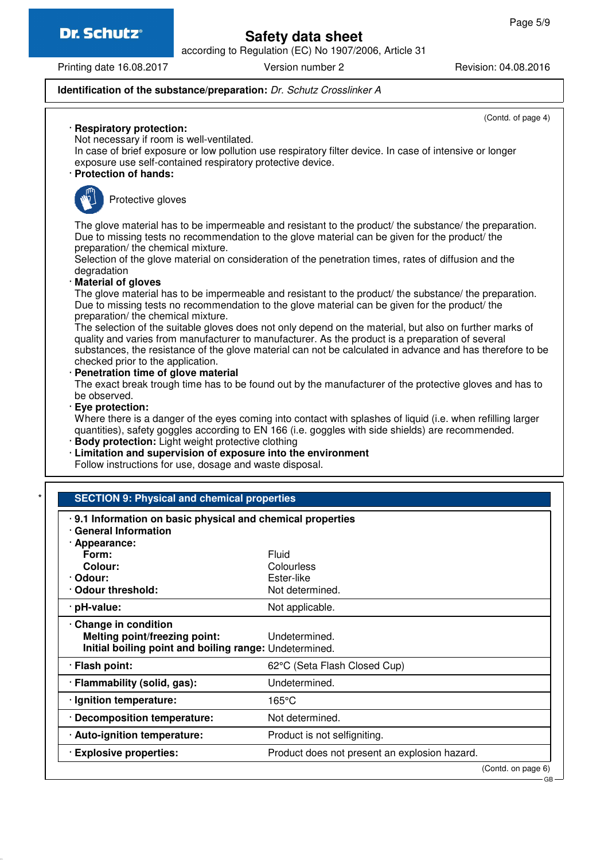**Dr. Schutz®** 

## **Safety data sheet**

according to Regulation (EC) No 1907/2006, Article 31

Printing date 16.08.2017 Version number 2 Revision: 04.08.2016

· **Respiratory protection:**

(Contd. of page 4)

### **Identification of the substance/preparation:** Dr. Schutz Crosslinker A

| In case of brief exposure or low pollution use respiratory filter device. In case of intensive or longer |                                                                                                                                                                                                                                                                                                                          |
|----------------------------------------------------------------------------------------------------------|--------------------------------------------------------------------------------------------------------------------------------------------------------------------------------------------------------------------------------------------------------------------------------------------------------------------------|
| exposure use self-contained respiratory protective device.<br>· Protection of hands:                     |                                                                                                                                                                                                                                                                                                                          |
|                                                                                                          |                                                                                                                                                                                                                                                                                                                          |
| Protective gloves                                                                                        |                                                                                                                                                                                                                                                                                                                          |
| preparation/ the chemical mixture.                                                                       | The glove material has to be impermeable and resistant to the product/ the substance/ the preparation.<br>Due to missing tests no recommendation to the glove material can be given for the product/ the                                                                                                                 |
| degradation                                                                                              | Selection of the glove material on consideration of the penetration times, rates of diffusion and the                                                                                                                                                                                                                    |
| · Material of gloves                                                                                     |                                                                                                                                                                                                                                                                                                                          |
| preparation/ the chemical mixture.                                                                       | The glove material has to be impermeable and resistant to the product/ the substance/ the preparation.<br>Due to missing tests no recommendation to the glove material can be given for the product/ the                                                                                                                 |
|                                                                                                          | The selection of the suitable gloves does not only depend on the material, but also on further marks of<br>quality and varies from manufacturer to manufacturer. As the product is a preparation of several<br>substances, the resistance of the glove material can not be calculated in advance and has therefore to be |
| checked prior to the application.<br>· Penetration time of glove material                                |                                                                                                                                                                                                                                                                                                                          |
|                                                                                                          | The exact break trough time has to be found out by the manufacturer of the protective gloves and has to                                                                                                                                                                                                                  |
| be observed.                                                                                             |                                                                                                                                                                                                                                                                                                                          |
| · Eye protection:                                                                                        |                                                                                                                                                                                                                                                                                                                          |
|                                                                                                          | Where there is a danger of the eyes coming into contact with splashes of liquid (i.e. when refilling larger<br>quantities), safety goggles according to EN 166 (i.e. goggles with side shields) are recommended.                                                                                                         |
|                                                                                                          |                                                                                                                                                                                                                                                                                                                          |
| <b>Body protection:</b> Light weight protective clothing                                                 |                                                                                                                                                                                                                                                                                                                          |
| · Limitation and supervision of exposure into the environment                                            |                                                                                                                                                                                                                                                                                                                          |
| Follow instructions for use, dosage and waste disposal.                                                  |                                                                                                                                                                                                                                                                                                                          |
|                                                                                                          |                                                                                                                                                                                                                                                                                                                          |
| <b>SECTION 9: Physical and chemical properties</b>                                                       |                                                                                                                                                                                                                                                                                                                          |
|                                                                                                          |                                                                                                                                                                                                                                                                                                                          |
| .9.1 Information on basic physical and chemical properties<br>· General Information                      |                                                                                                                                                                                                                                                                                                                          |
| · Appearance:                                                                                            |                                                                                                                                                                                                                                                                                                                          |
| Form:                                                                                                    | Fluid                                                                                                                                                                                                                                                                                                                    |
| Colour:                                                                                                  | Colourless                                                                                                                                                                                                                                                                                                               |
|                                                                                                          | Ester-like<br>Not determined.                                                                                                                                                                                                                                                                                            |
| · Odour:<br>· Odour threshold:<br>pH-value:                                                              |                                                                                                                                                                                                                                                                                                                          |
|                                                                                                          | Not applicable.                                                                                                                                                                                                                                                                                                          |
| Change in condition                                                                                      | Undetermined.                                                                                                                                                                                                                                                                                                            |
| Melting point/freezing point:<br>Initial boiling point and boiling range: Undetermined.                  |                                                                                                                                                                                                                                                                                                                          |
| · Flash point:                                                                                           | 62°C (Seta Flash Closed Cup)                                                                                                                                                                                                                                                                                             |
| · Flammability (solid, gas):                                                                             | Undetermined.                                                                                                                                                                                                                                                                                                            |
| · Ignition temperature:                                                                                  | 165°C                                                                                                                                                                                                                                                                                                                    |
| <b>Decomposition temperature:</b>                                                                        | Not determined.                                                                                                                                                                                                                                                                                                          |
| · Auto-ignition temperature:                                                                             | Product is not selfigniting.                                                                                                                                                                                                                                                                                             |
| · Explosive properties:                                                                                  | Product does not present an explosion hazard.                                                                                                                                                                                                                                                                            |
|                                                                                                          | (Contd. on page 6)                                                                                                                                                                                                                                                                                                       |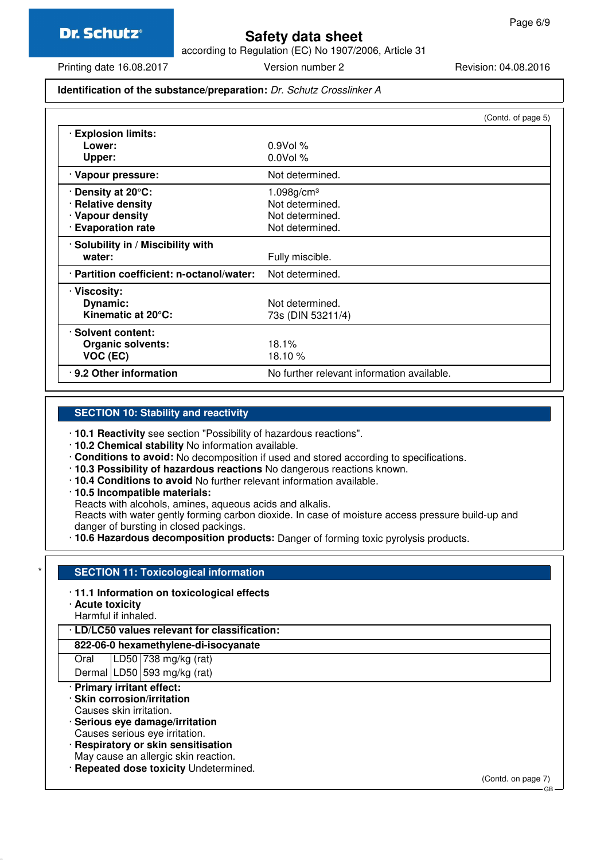according to Regulation (EC) No 1907/2006, Article 31

Printing date 16.08.2017 Version number 2 Revision: 04.08.2016

#### **Identification of the substance/preparation:** Dr. Schutz Crosslinker A

|                                           | (Contd. of page 5)                         |
|-------------------------------------------|--------------------------------------------|
| <b>Explosion limits:</b>                  |                                            |
| Lower:                                    | $0.9$ Vol %                                |
| Upper:                                    | $0.0$ Vol %                                |
| · Vapour pressure:                        | Not determined.                            |
| Density at 20°C:                          | $1.098$ g/cm <sup>3</sup>                  |
| · Relative density                        | Not determined.                            |
| · Vapour density                          | Not determined.                            |
| <b>Evaporation rate</b>                   | Not determined.                            |
| · Solubility in / Miscibility with        |                                            |
| water:                                    | Fully miscible.                            |
| · Partition coefficient: n-octanol/water: | Not determined.                            |
| · Viscosity:                              |                                            |
| Dynamic:                                  | Not determined.                            |
| Kinematic at 20°C:                        | 73s (DIN 53211/4)                          |
| · Solvent content:                        |                                            |
| <b>Organic solvents:</b>                  | 18.1%                                      |
| VOC (EC)                                  | 18.10 $%$                                  |
| .9.2 Other information                    | No further relevant information available. |

#### **SECTION 10: Stability and reactivity**

· **10.1 Reactivity** see section "Possibility of hazardous reactions".

· **10.2 Chemical stability** No information available.

- · **Conditions to avoid:** No decomposition if used and stored according to specifications.
- · **10.3 Possibility of hazardous reactions** No dangerous reactions known.
- · **10.4 Conditions to avoid** No further relevant information available.
- · **10.5 Incompatible materials:**

Reacts with alcohols, amines, aqueous acids and alkalis.

Reacts with water gently forming carbon dioxide. In case of moisture access pressure build-up and danger of bursting in closed packings.

· **10.6 Hazardous decomposition products:** Danger of forming toxic pyrolysis products.

#### **SECTION 11: Toxicological information**

- · **11.1 Information on toxicological effects**
- · **Acute toxicity**
- Harmful if inhaled.

### · **LD/LC50 values relevant for classification:**

#### **822-06-0 hexamethylene-di-isocyanate**

Oral LD50 738 mg/kg (rat) Dermal LD50 593 mg/kg (rat)

- · **Primary irritant effect:**
- · **Skin corrosion/irritation**
- Causes skin irritation.
- · **Serious eye damage/irritation**
- Causes serious eye irritation.
- · **Respiratory or skin sensitisation**
- May cause an allergic skin reaction.
- · **Repeated dose toxicity** Undetermined.

(Contd. on page 7)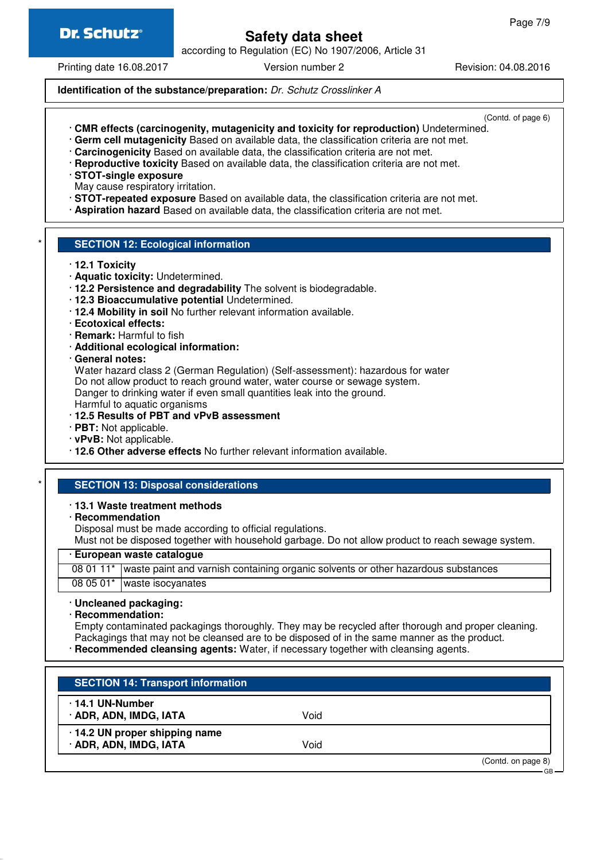according to Regulation (EC) No 1907/2006, Article 31

Printing date 16.08.2017 Version number 2 Revision: 04.08.2016

**Identification of the substance/preparation:** Dr. Schutz Crosslinker A

(Contd. of page 6)

- · **CMR effects (carcinogenity, mutagenicity and toxicity for reproduction)** Undetermined.
- · **Germ cell mutagenicity** Based on available data, the classification criteria are not met.
- · **Carcinogenicity** Based on available data, the classification criteria are not met.
- · **Reproductive toxicity** Based on available data, the classification criteria are not met.
- · **STOT-single exposure**
- May cause respiratory irritation.
- · **STOT-repeated exposure** Based on available data, the classification criteria are not met.
- · **Aspiration hazard** Based on available data, the classification criteria are not met.

#### **SECTION 12: Ecological information**

- · **12.1 Toxicity**
- · **Aquatic toxicity:** Undetermined.
- · **12.2 Persistence and degradability** The solvent is biodegradable.
- · **12.3 Bioaccumulative potential** Undetermined.
- · **12.4 Mobility in soil** No further relevant information available.
- · **Ecotoxical effects:**
- · **Remark:** Harmful to fish
- · **Additional ecological information:**
- · **General notes:**

Water hazard class 2 (German Regulation) (Self-assessment): hazardous for water Do not allow product to reach ground water, water course or sewage system. Danger to drinking water if even small quantities leak into the ground. Harmful to aquatic organisms

- · **12.5 Results of PBT and vPvB assessment**
- · **PBT:** Not applicable.
- · **vPvB:** Not applicable.
- · **12.6 Other adverse effects** No further relevant information available.

#### **SECTION 13: Disposal considerations**

#### · **13.1 Waste treatment methods**

· **Recommendation**

Disposal must be made according to official regulations.

Must not be disposed together with household garbage. Do not allow product to reach sewage system.

#### · **European waste catalogue**

08 01 11\* | waste paint and varnish containing organic solvents or other hazardous substances 08 05 01<sup>\*</sup> waste isocyanates

#### · **Uncleaned packaging:**

· **Recommendation:**

Empty contaminated packagings thoroughly. They may be recycled after thorough and proper cleaning. Packagings that may not be cleansed are to be disposed of in the same manner as the product.

· **Recommended cleansing agents:** Water, if necessary together with cleansing agents.

| <b>SECTION 14: Transport information</b>         |      |                              |
|--------------------------------------------------|------|------------------------------|
| $\cdot$ 14.1 UN-Number<br>· ADR, ADN, IMDG, IATA | Void |                              |
| 14.2 UN proper shipping name                     |      |                              |
| · ADR, ADN, IMDG, IATA                           | Void |                              |
|                                                  |      | (Contd. on page 8)<br>$\cap$ |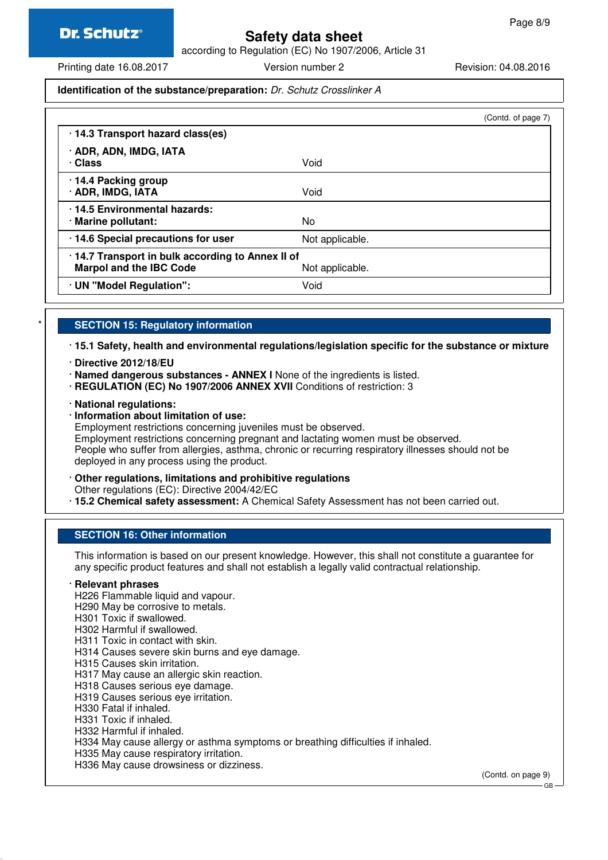according to Regulation (EC) No 1907/2006, Article 31

Printing date 16.08.2017 Version number 2 Revision: 04.08.2016

#### **Identification of the substance/preparation:** Dr. Schutz Crosslinker A

|                 | (Contd. of page 7)                               |
|-----------------|--------------------------------------------------|
|                 |                                                  |
| Void            |                                                  |
| Void            |                                                  |
| No.             |                                                  |
| Not applicable. |                                                  |
| Not applicable. |                                                  |
| Void            |                                                  |
|                 | .14.7 Transport in bulk according to Annex II of |

#### **SECTION 15: Regulatory information**

· **15.1 Safety, health and environmental regulations/legislation specific for the substance or mixture**

- · **Directive 2012/18/EU**
- · **Named dangerous substances ANNEX I** None of the ingredients is listed.
- · **REGULATION (EC) No 1907/2006 ANNEX XVII** Conditions of restriction: 3

#### · **National regulations:**

· **Information about limitation of use:**

Employment restrictions concerning juveniles must be observed.

Employment restrictions concerning pregnant and lactating women must be observed. People who suffer from allergies, asthma, chronic or recurring respiratory illnesses should not be deployed in any process using the product.

#### · **Other regulations, limitations and prohibitive regulations**

Other regulations (EC): Directive 2004/42/EC

· **15.2 Chemical safety assessment:** A Chemical Safety Assessment has not been carried out.

#### **SECTION 16: Other information**

This information is based on our present knowledge. However, this shall not constitute a guarantee for any specific product features and shall not establish a legally valid contractual relationship.

#### · **Relevant phrases**

- H226 Flammable liquid and vapour.
- H290 May be corrosive to metals.
- H301 Toxic if swallowed.
- H302 Harmful if swallowed.
- H311 Toxic in contact with skin.
- H314 Causes severe skin burns and eye damage.
- H315 Causes skin irritation.
- H317 May cause an allergic skin reaction.
- H318 Causes serious eye damage.
- H319 Causes serious eye irritation.
- H330 Fatal if inhaled.
- H331 Toxic if inhaled.
- H332 Harmful if inhaled.
- H334 May cause allergy or asthma symptoms or breathing difficulties if inhaled.
- H335 May cause respiratory irritation.
- H336 May cause drowsiness or dizziness.

(Contd. on page 9)